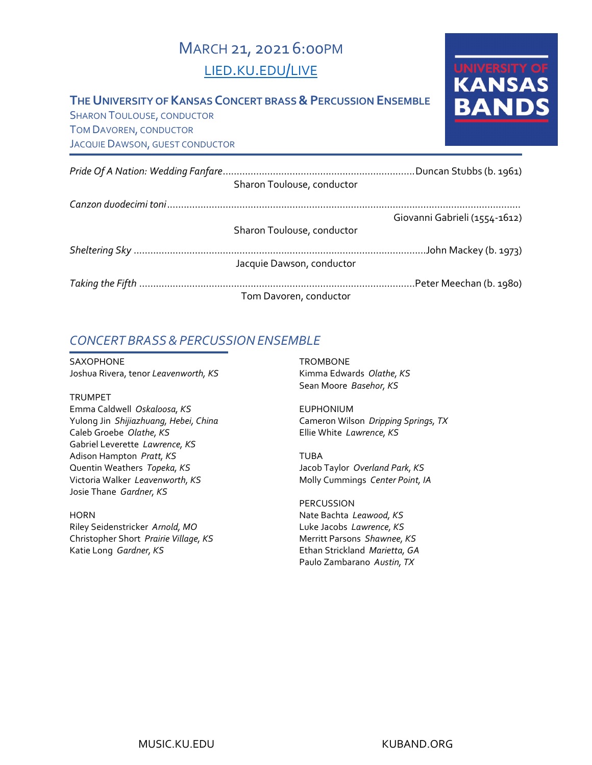# MARCH 21, 2021 6:00PM [LIED.KU.EDU/LIVE](http://lied.ku.edu/live)

#### **THE UNIVERSITY OF KANSAS CONCERT BRASS & PERCUSSION ENSEMBLE**

SHARON TOULOUSE, CONDUCTOR TOM DAVOREN, CONDUCTOR JACQUIE DAWSON, GUEST CONDUCTOR UNIVERSITY OF<br>KANSAS **BAND** 

|  | Sharon Toulouse, conductor |                               |
|--|----------------------------|-------------------------------|
|  |                            |                               |
|  |                            | Giovanni Gabrieli (1554-1612) |
|  | Sharon Toulouse, conductor |                               |
|  |                            |                               |
|  | Jacquie Dawson, conductor  |                               |
|  |                            | Peter Meechan (b. 1980).      |
|  | Tom Davoren, conductor     |                               |

## *CONCERT BRASS&PERCUSSIONENSEMBLE*

SAXOPHONE Joshua Rivera, tenor *Leavenworth, KS*

TRUMPET

Emma Caldwell *Oskaloosa, KS* Yulong Jin *Shijiazhuang, Hebei, China* Caleb Groebe *Olathe, KS* Gabriel Leverette *Lawrence, KS* Adison Hampton *Pratt, KS* Quentin Weathers *Topeka, KS* Victoria Walker *Leavenworth, KS* Josie Thane *Gardner, KS*

**HORN** Riley Seidenstricker *Arnold, MO* Christopher Short *Prairie Village, KS* Katie Long *Gardner, KS*

**TROMBONE** Kimma Edwards *Olathe, KS* Sean Moore *Basehor, KS*

EUPHONIUM Cameron Wilson *Dripping Springs, TX* Ellie White *Lawrence, KS*

TUBA Jacob Taylor *Overland Park, KS* Molly Cummings *Center Point, IA*

PERCUSSION Nate Bachta *Leawood, KS* Luke Jacobs *Lawrence, KS* Merritt Parsons *Shawnee, KS* Ethan Strickland *Marietta, GA* Paulo Zambarano *Austin, TX*